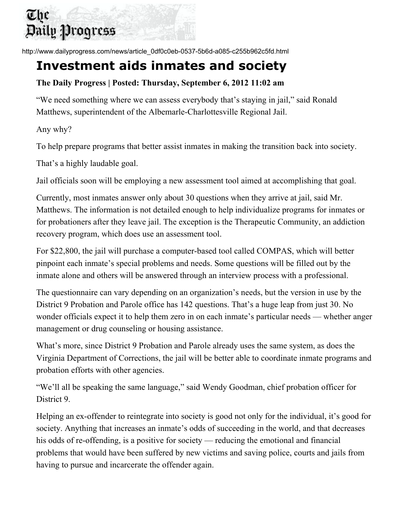## The Daily Progress

http://www.dailyprogress.com/news/article\_0df0c0eb-0537-5b6d-a085-c255b962c5fd.html

## **Investment aids inmates and society**

## **The Daily Progress | Posted: Thursday, September 6, 2012 11:02 am**

"We need something where we can assess everybody that's staying in jail," said Ronald Matthews, superintendent of the Albemarle-Charlottesville Regional Jail.

Any why?

To help prepare programs that better assist inmates in making the transition back into society.

That's a highly laudable goal.

Jail officials soon will be employing a new assessment tool aimed at accomplishing that goal.

Currently, most inmates answer only about 30 questions when they arrive at jail, said Mr. Matthews. The information is not detailed enough to help individualize programs for inmates or for probationers after they leave jail. The exception is the Therapeutic Community, an addiction recovery program, which does use an assessment tool.

For \$22,800, the jail will purchase a computer-based tool called COMPAS, which will better pinpoint each inmate's special problems and needs. Some questions will be filled out by the inmate alone and others will be answered through an interview process with a professional.

The questionnaire can vary depending on an organization's needs, but the version in use by the District 9 Probation and Parole office has 142 questions. That's a huge leap from just 30. No wonder officials expect it to help them zero in on each inmate's particular needs — whether anger management or drug counseling or housing assistance.

What's more, since District 9 Probation and Parole already uses the same system, as does the Virginia Department of Corrections, the jail will be better able to coordinate inmate programs and probation efforts with other agencies.

"We'll all be speaking the same language," said Wendy Goodman, chief probation officer for District 9.

Helping an ex-offender to reintegrate into society is good not only for the individual, it's good for society. Anything that increases an inmate's odds of succeeding in the world, and that decreases his odds of re-offending, is a positive for society — reducing the emotional and financial problems that would have been suffered by new victims and saving police, courts and jails from having to pursue and incarcerate the offender again.